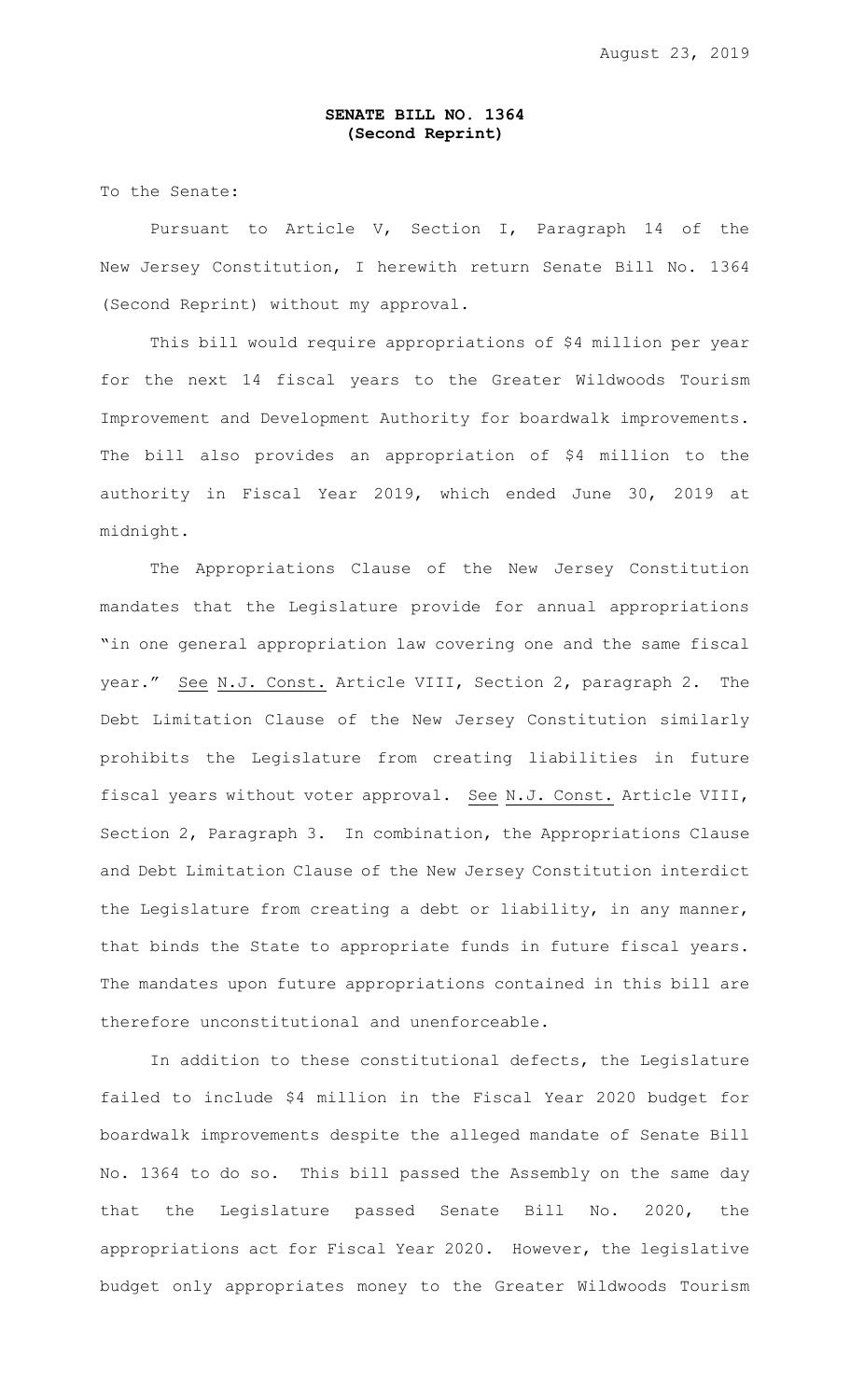## **SENATE BILL NO. 1364 (Second Reprint)**

To the Senate:

Pursuant to Article V, Section I, Paragraph 14 of the New Jersey Constitution, I herewith return Senate Bill No. 1364 (Second Reprint) without my approval.

This bill would require appropriations of \$4 million per year for the next 14 fiscal years to the Greater Wildwoods Tourism Improvement and Development Authority for boardwalk improvements. The bill also provides an appropriation of \$4 million to the authority in Fiscal Year 2019, which ended June 30, 2019 at midnight.

The Appropriations Clause of the New Jersey Constitution mandates that the Legislature provide for annual appropriations "in one general appropriation law covering one and the same fiscal year." See N.J. Const. Article VIII, Section 2, paragraph 2. The Debt Limitation Clause of the New Jersey Constitution similarly prohibits the Legislature from creating liabilities in future fiscal years without voter approval. See N.J. Const. Article VIII, Section 2, Paragraph 3. In combination, the Appropriations Clause and Debt Limitation Clause of the New Jersey Constitution interdict the Legislature from creating a debt or liability, in any manner, that binds the State to appropriate funds in future fiscal years. The mandates upon future appropriations contained in this bill are therefore unconstitutional and unenforceable.

In addition to these constitutional defects, the Legislature failed to include \$4 million in the Fiscal Year 2020 budget for boardwalk improvements despite the alleged mandate of Senate Bill No. 1364 to do so. This bill passed the Assembly on the same day that the Legislature passed Senate Bill No. 2020, the appropriations act for Fiscal Year 2020. However, the legislative budget only appropriates money to the Greater Wildwoods Tourism